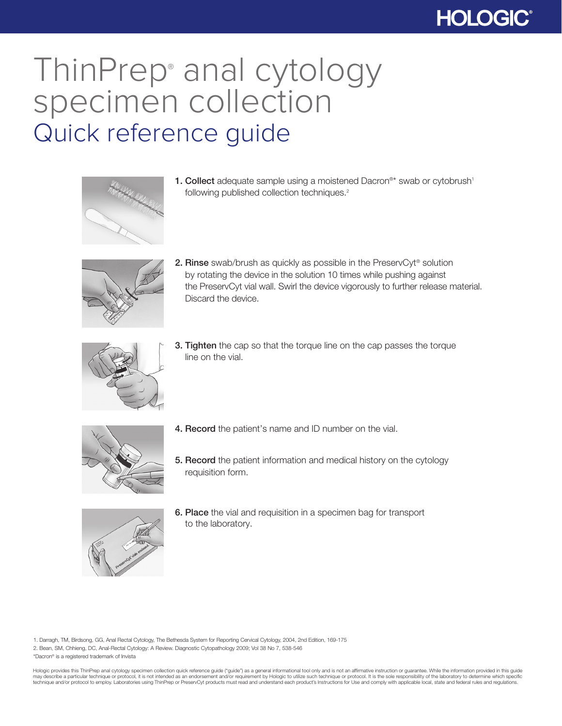## **HOLOGIC®**

## ThinPrep® anal cytology specimen collection Quick reference guide



1. Collect adequate sample using a moistened Dacron®\* swab or cytobrush<sup>1</sup> following published collection techniques.<sup>2</sup>



2. Rinse swab/brush as quickly as possible in the PreservCyt<sup>®</sup> solution by rotating the device in the solution 10 times while pushing against the PreservCyt vial wall. Swirl the device vigorously to further release material. Discard the device.



**3. Tighten** the cap so that the torque line on the cap passes the torque line on the vial.



- 4. Record the patient's name and ID number on the vial.
- 5. Record the patient information and medical history on the cytology requisition form.



6. Place the vial and requisition in a specimen bag for transport to the laboratory.

1. Darragh, TM, Birdsong, GG, Anal Rectal Cytology, The Bethesda System for Reporting Cervical Cytology, 2004, 2nd Edition, 169-175 2. Bean, SM, Chhieng, DC, Anal-Rectal Cytology: A Review. Diagnostic Cytopathology 2009; Vol 38 No 7, 538-546 \*Dacron® is a registered trademark of Invista

Hologic provides this ThinPrep anal cytology specimen collection quick reference guide ("guide") as a general informational tool only and is not an affirmative instruction or guarantee. While the information provided in th may describe a particular technique or protocol, it is not intended as an endorsement and/or requirement by Hologic to utilize such technique or protocol. It is the sole responsibility of the laboratory to determine which